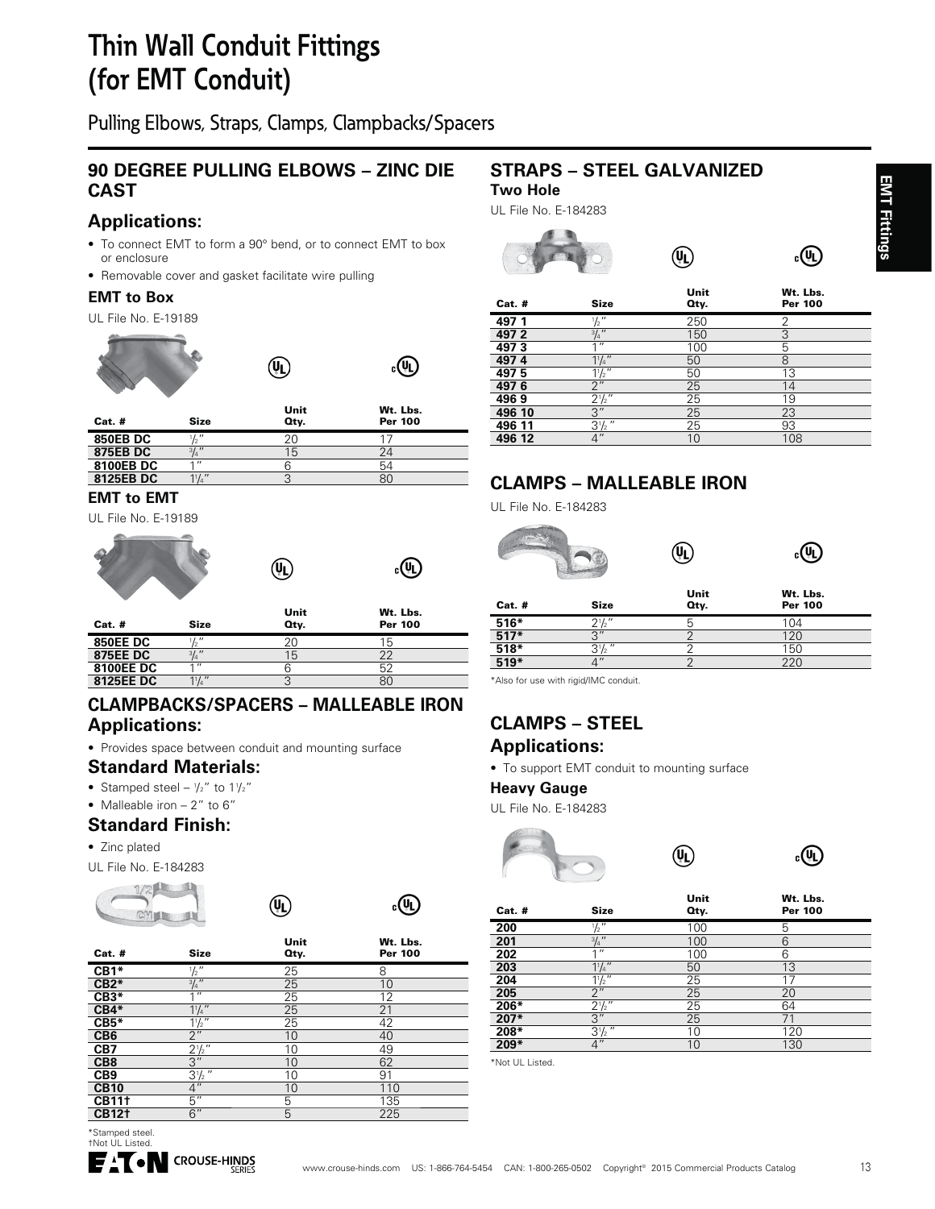# **Thin Wall Conduit Fittings (for EMT Conduit)**

Pulling Elbows, Straps, Clamps, Clampbacks/Spacers

# **90 DEGREE PULLING ELBOWS – ZINC DIE CAST**

# **Applications:**

- To connect EMT to form a 90° bend, or to connect EMT to box or enclosure
- Removable cover and gasket facilitate wire pulling

#### **EMT to Box**

UL File No. E-19189





| $Cat.$ #        | <b>Size</b>     | Unit<br>Oty. | Wt. Lbs.<br><b>Per 100</b> |  |
|-----------------|-----------------|--------------|----------------------------|--|
| <b>850EB DC</b> | $\mathcal{L}''$ | 20           |                            |  |
| 875EB DC        | $3/4$ "         | 15           | 24                         |  |
| 8100EB DC       | 4H              |              | 54                         |  |
| 8125EB DC       |                 |              | 80                         |  |

 $\left(\overline{\mathsf{U}}\right)$ 

#### **EMT to EMT**

UL File No. E-19189





| $Cat.$ #         | <b>Size</b>      | Unit<br>Qty. | Wt. Lbs.<br>Per 100 |
|------------------|------------------|--------------|---------------------|
| <b>850EE DC</b>  | 11''             | 20           | 15                  |
| <b>875EE DC</b>  | 3/3''            | 15           | 22                  |
| <b>8100EE DC</b> | 4 H              |              |                     |
| 8125EE DC        | $1\frac{1}{4}$ " |              | 80                  |

 $(\mathbf{W})$ 

#### **CLAMPBACKS/SPACERS – MALLEABLE IRON Applications:**

• Provides space between conduit and mounting surface

# **Standard Materials:**

- Stamped steel  $1/2$ " to  $11/2$ "
- Malleable iron  $-2$ " to 6"

### **Standard Finish:**

• Zinc plated

UL File No. E-184283





 $_{c}$ (h)

| Cat. #          | <b>Size</b>      | Unit<br>Oty. | Wt. Lbs.<br>Per 100 |
|-----------------|------------------|--------------|---------------------|
| CB1*            | $\frac{1}{2}$    | 25           | 8                   |
| $CB2*$          | $\frac{3}{4}$ "  | 25           | 10                  |
| $CB3*$          | 1''              | 25           | 12                  |
| $CB4*$          | $1\frac{1}{4}$   | 25           | 21                  |
| $CB5*$          | $1\frac{1}{2}$   | 25           | 42                  |
| CB <sub>6</sub> | 2 <sup>''</sup>  | 10           | 40                  |
| CB7             | $2\frac{1}{2}$ " | 10           | 49                  |
| CB <sub>8</sub> | 3"               | 10           | 62                  |
| CB <sub>9</sub> | $3\frac{1}{2}$ " | 10           | 91                  |
| <b>CB10</b>     | 4"               | 10           | 110                 |
| <b>CB111</b>    | $\overline{5}$ " | 5            | 135                 |
| <b>CB121</b>    | 6"               | 5            | 225                 |
|                 |                  |              |                     |

 $\left(\overline{\Psi}\right)$ 

# **STRAPS – STEEL GALVANIZED Two Hole**

UL File No. E-184283



# **CLAMPS – MALLEABLE IRON**

UL File No. E-184283

#### (VL)  $_{c}$ (U) Unit W<sub>t</sub>. Lbs.

| $Cat.$ #         | <b>Size</b>       | -----<br>Oty. | <br><b>Per 100</b> |
|------------------|-------------------|---------------|--------------------|
| $516*$           | $2^{\frac{1}{2}}$ |               | 104                |
| $517*$           | $\Omega$          |               | 120                |
| $\frac{1}{518*}$ | $^{\prime\prime}$ |               | 150                |
| $519*$           | 11                |               |                    |

\*Also for use with rigid/IMC conduit.

# **CLAMPS – STEEL**

# **Applications:**

• To support EMT conduit to mounting surface

#### **Heavy Gauge**

UL File No. E-184283





 $_{c}$ (II)

| $Cat.$ # | <b>Size</b>      | Unit<br>Oty. | Wt. Lbs.<br>Per 100 |
|----------|------------------|--------------|---------------------|
| 200      | $\frac{1}{2}$ "  | 100          | 5                   |
| 201      | $\frac{3}{4}$ "  | 100          | 6                   |
| 202      | 1 <sup>11</sup>  | 100          | 6                   |
| 203      | $1^{1}/4$ "      | 50           | 13                  |
| 204      | $1\frac{1}{2}$   | 25           | 17                  |
| 205      | 2 <sup>''</sup>  | 25           | 20                  |
| 206*     | $2\frac{1}{2}$ " | 25           | 64                  |
| 207*     | 3''              | 25           | 71                  |
| 208*     | $3\frac{1}{2}$ " | 10           | 120                 |
| $209*$   | $\overline{4}$ " | 10           | 130                 |

\*Not UL Listed.

**EMT Fittings EMT Fittings**